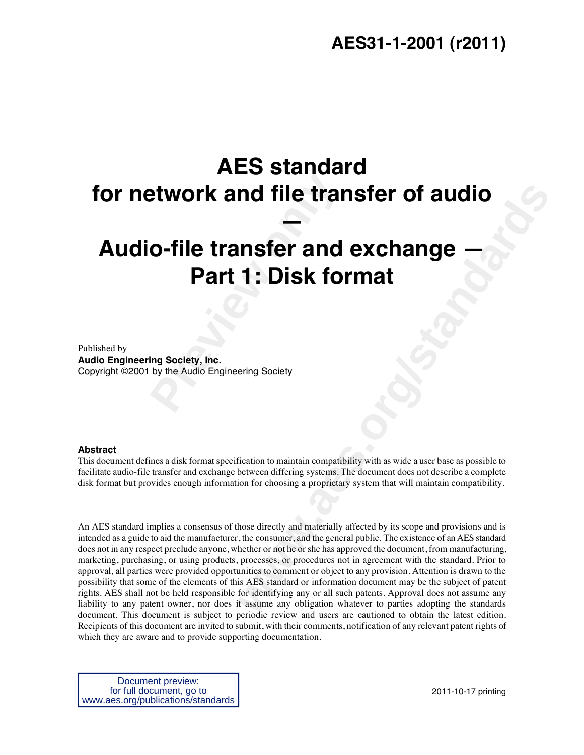# **AES31-1-2001 (r2011)**

# **AES standard for network and file transfer of audio —**

# Preview and file transfer and<br> **Part 1: Disk fo**<br> **Part 1: Disk fo**<br> **Part 1: Disk fo**<br> **Part 1: Disk fo**<br> **Part 1: Disk fo**<br> **Part 1: Disk fo**<br> **Part 1: Disk fo**<br> **Part** and Engineering Society **Audio-file transfer and exchange Part 1: Disk format**

Published by **Audio Engineering Society, Inc.**  Copyright ©2001 by the Audio Engineering Society

# **Abstract**

This document defines a disk format specification to maintain compatibility with as wide a user base as possible to facilitate audio-file transfer and exchange between differing systems. The document does not describe a complete disk format but provides enough information for choosing a proprietary system that will maintain compatibility.

**example 11 CONSIDE CONSIDE 11 CONSIDE 11 CONSIDE 11 CONSIDER 11 CONSIDER 12 CONSIDER 12 CONSIDER 12 CONSIDER 12 CONSIDER 12 CONSIDER 12 CONSIDER 12 CONSIDER 12 CONSIDER 12 CONSIDER 12 CONSIDER 12 CONSIDER 12 CONSIDER 12 C** An AES standard implies a consensus of those directly and materially affected by its scope and provisions and is intended as a guide to aid the manufacturer, the consumer, and the general public. The existence of an AES standard does not in any respect preclude anyone, whether or not he or she has approved the document, from manufacturing, marketing, purchasing, or using products, processes, or procedures not in agreement with the standard. Prior to approval, all parties were provided opportunities to comment or object to any provision. Attention is drawn to the possibility that some of the elements of this AES standard or information document may be the subject of patent rights. AES shall not be held responsible for identifying any or all such patents. Approval does not assume any liability to any patent owner, nor does it assume any obligation whatever to parties adopting the standards document. This document is subject to periodic review and users are cautioned to obtain the latest edition. Recipients of this document are invited to submit, with their comments, notification of any relevant patent rights of which they are aware and to provide supporting documentation.

Document preview: for full document, go to www.aes.org/publications/standards

2011-10-17 printing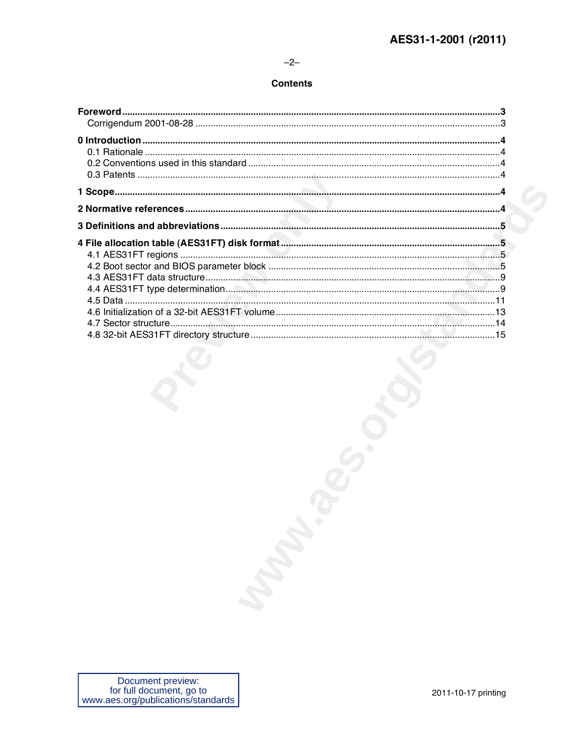# $-2-$

# **Contents**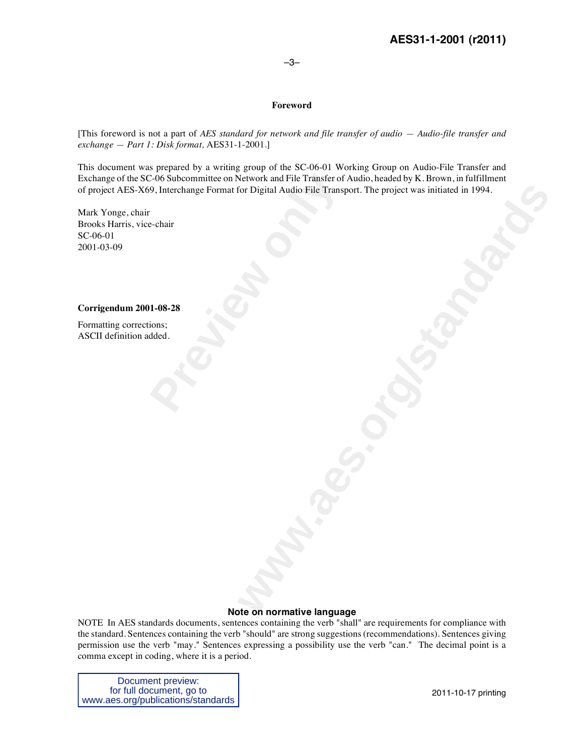# –3–

# **Foreword**

[This foreword is not a part of *AES standard for network and file transfer of audio — Audio-file transfer and exchange — Part 1: Disk format,* AES31-1-2001.]

E-06 Subcommittee on Network and File Transfer of<br>9, Interchange Format for Digital Audio File Transported in the Section of the Transported in the Section of the Section of the Section of the Section of the Section of the For Digital Audio File Transport. The project was initiated in 1994. This document was prepared by a writing group of the SC-06-01 Working Group on Audio-File Transfer and Exchange of the SC-06 Subcommittee on Network and File Transfer of Audio, headed by K. Brown, in fulfillment of project AES-X69, Interchange Format for Digital Audio File Transport. The project was initiated in 1994.

Mark Yonge, chair Brooks Harris, vice-chair SC-06-01 2001-03-09

# **Corrigendum 2001-08-28**

Formatting corrections; ASCII definition added.

# **Note on normative language**

NOTE In AES standards documents, sentences containing the verb "shall" are requirements for compliance with the standard. Sentences containing the verb "should" are strong suggestions (recommendations). Sentences giving permission use the verb "may." Sentences expressing a possibility use the verb "can." The decimal point is a comma except in coding, where it is a period.

Document preview: for full document, go to www.aes.org/publications/standards